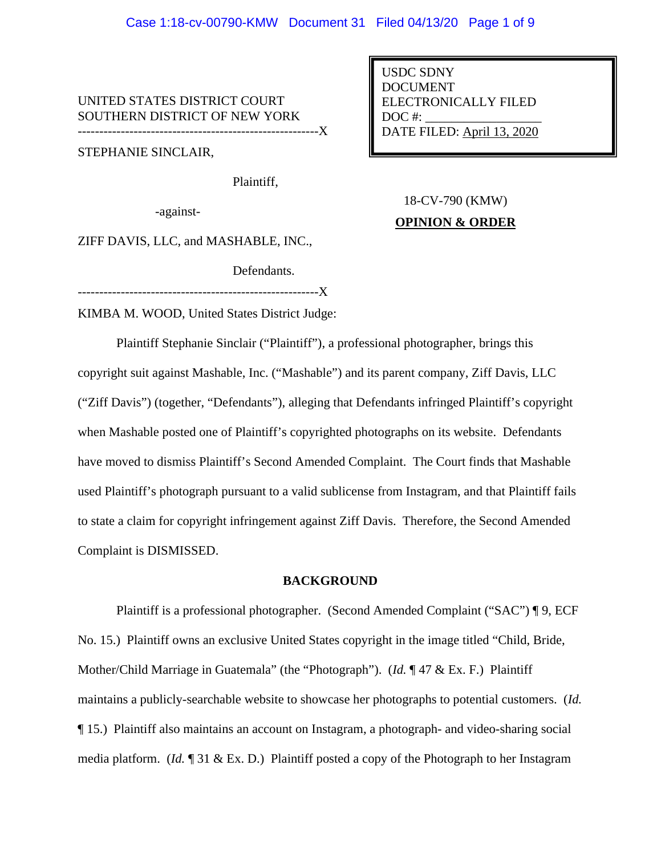UNITED STATES DISTRICT COURT SOUTHERN DISTRICT OF NEW YORK --------------------------------------------------------X

STEPHANIE SINCLAIR,

Plaintiff,

-against-

USDC SDNY DOCUMENT ELECTRONICALLY FILED  $DOC$  #: DATE FILED: April 13, 2020

# 18-CV-790 (KMW) **OPINION & ORDER**

ZIFF DAVIS, LLC, and MASHABLE, INC.,

Defendants.

-----------------X

KIMBA M. WOOD, United States District Judge:

Plaintiff Stephanie Sinclair ("Plaintiff"), a professional photographer, brings this copyright suit against Mashable, Inc. ("Mashable") and its parent company, Ziff Davis, LLC ("Ziff Davis") (together, "Defendants"), alleging that Defendants infringed Plaintiff's copyright when Mashable posted one of Plaintiff's copyrighted photographs on its website. Defendants have moved to dismiss Plaintiff's Second Amended Complaint. The Court finds that Mashable used Plaintiff's photograph pursuant to a valid sublicense from Instagram, and that Plaintiff fails to state a claim for copyright infringement against Ziff Davis. Therefore, the Second Amended Complaint is DISMISSED.

## **BACKGROUND**

Plaintiff is a professional photographer. (Second Amended Complaint ("SAC") ¶ 9, ECF No. 15.) Plaintiff owns an exclusive United States copyright in the image titled "Child, Bride, Mother/Child Marriage in Guatemala" (the "Photograph"). (*Id.* ¶ 47 & Ex. F.) Plaintiff maintains a publicly-searchable website to showcase her photographs to potential customers. (*Id.*  ¶ 15.) Plaintiff also maintains an account on Instagram, a photograph- and video-sharing social media platform. (*Id.* ¶ 31 & Ex. D.) Plaintiff posted a copy of the Photograph to her Instagram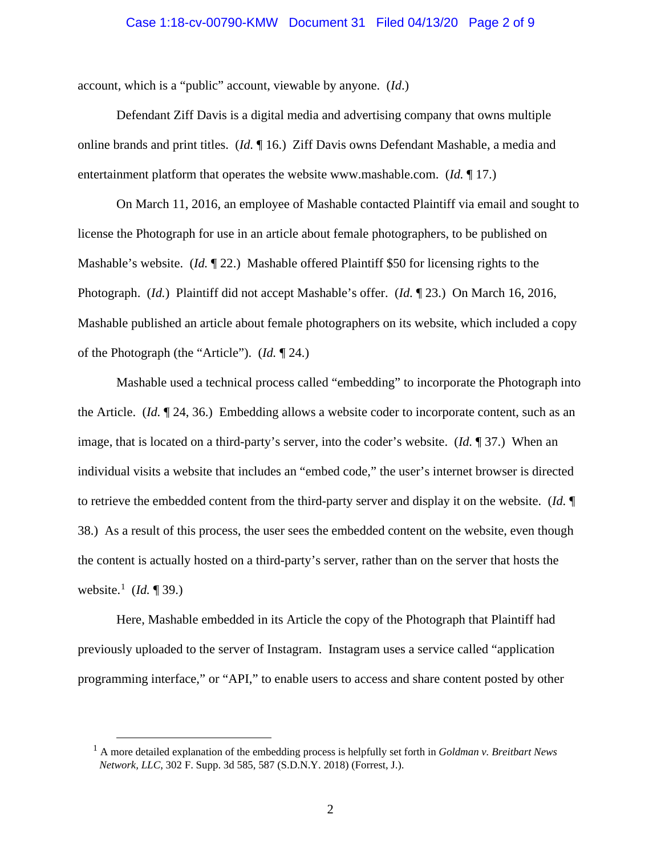#### Case 1:18-cv-00790-KMW Document 31 Filed 04/13/20 Page 2 of 9

account, which is a "public" account, viewable by anyone. (*Id*.)

Defendant Ziff Davis is a digital media and advertising company that owns multiple online brands and print titles. (*Id.* ¶ 16.) Ziff Davis owns Defendant Mashable, a media and entertainment platform that operates the website www.mashable.com. (*Id.* ¶ 17.)

On March 11, 2016, an employee of Mashable contacted Plaintiff via email and sought to license the Photograph for use in an article about female photographers, to be published on Mashable's website. (*Id.* ¶ 22.) Mashable offered Plaintiff \$50 for licensing rights to the Photograph. (*Id.*) Plaintiff did not accept Mashable's offer. (*Id.* ¶ 23.) On March 16, 2016, Mashable published an article about female photographers on its website, which included a copy of the Photograph (the "Article"). (*Id.* ¶ 24.)

Mashable used a technical process called "embedding" to incorporate the Photograph into the Article. (*Id.* ¶ 24, 36.) Embedding allows a website coder to incorporate content, such as an image, that is located on a third-party's server, into the coder's website. (*Id.* ¶ 37.) When an individual visits a website that includes an "embed code," the user's internet browser is directed to retrieve the embedded content from the third-party server and display it on the website. (*Id.* ¶ 38.) As a result of this process, the user sees the embedded content on the website, even though the content is actually hosted on a third-party's server, rather than on the server that hosts the website.<sup>[1](#page-1-0)</sup> (*Id.* ¶ 39.)

Here, Mashable embedded in its Article the copy of the Photograph that Plaintiff had previously uploaded to the server of Instagram. Instagram uses a service called "application programming interface," or "API," to enable users to access and share content posted by other

<span id="page-1-0"></span><sup>1</sup> A more detailed explanation of the embedding process is helpfully set forth in *Goldman v. Breitbart News Network, LLC*, 302 F. Supp. 3d 585, 587 (S.D.N.Y. 2018) (Forrest, J.).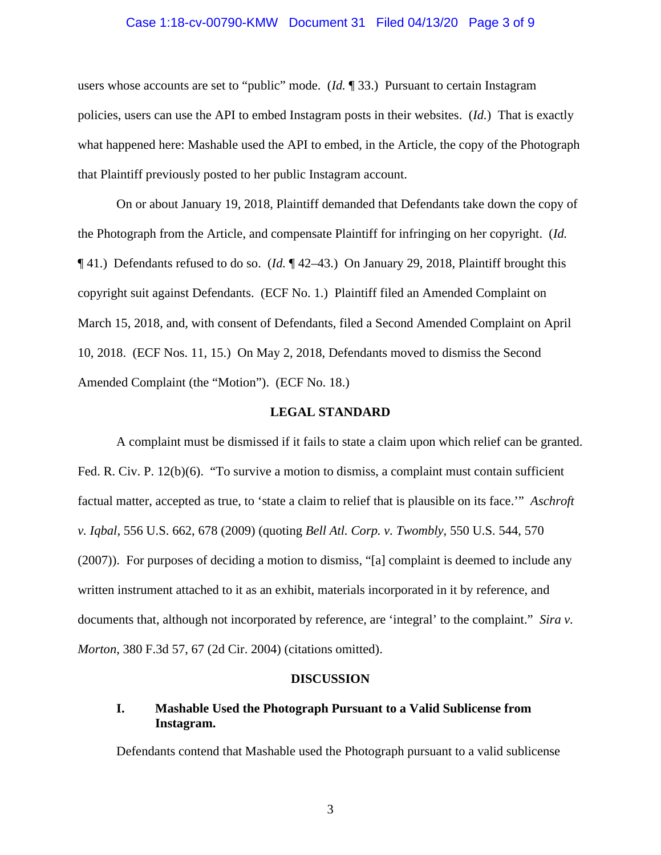## Case 1:18-cv-00790-KMW Document 31 Filed 04/13/20 Page 3 of 9

users whose accounts are set to "public" mode. (*Id.* ¶ 33.) Pursuant to certain Instagram policies, users can use the API to embed Instagram posts in their websites. (*Id.*) That is exactly what happened here: Mashable used the API to embed, in the Article, the copy of the Photograph that Plaintiff previously posted to her public Instagram account.

On or about January 19, 2018, Plaintiff demanded that Defendants take down the copy of the Photograph from the Article, and compensate Plaintiff for infringing on her copyright. (*Id.* ¶ 41.) Defendants refused to do so. (*Id.* ¶ 42–43.) On January 29, 2018, Plaintiff brought this copyright suit against Defendants. (ECF No. 1.) Plaintiff filed an Amended Complaint on March 15, 2018, and, with consent of Defendants, filed a Second Amended Complaint on April 10, 2018. (ECF Nos. 11, 15.) On May 2, 2018, Defendants moved to dismiss the Second Amended Complaint (the "Motion"). (ECF No. 18.)

## **LEGAL STANDARD**

A complaint must be dismissed if it fails to state a claim upon which relief can be granted. Fed. R. Civ. P. 12(b)(6). "To survive a motion to dismiss, a complaint must contain sufficient factual matter, accepted as true, to 'state a claim to relief that is plausible on its face.'" *Aschroft v. Iqbal*, 556 U.S. 662, 678 (2009) (quoting *Bell Atl. Corp. v. Twombly*, 550 U.S. 544, 570 (2007)). For purposes of deciding a motion to dismiss, "[a] complaint is deemed to include any written instrument attached to it as an exhibit, materials incorporated in it by reference, and documents that, although not incorporated by reference, are 'integral' to the complaint." *Sira v. Morton*, 380 F.3d 57, 67 (2d Cir. 2004) (citations omitted).

## **DISCUSSION**

# **I. Mashable Used the Photograph Pursuant to a Valid Sublicense from Instagram.**

Defendants contend that Mashable used the Photograph pursuant to a valid sublicense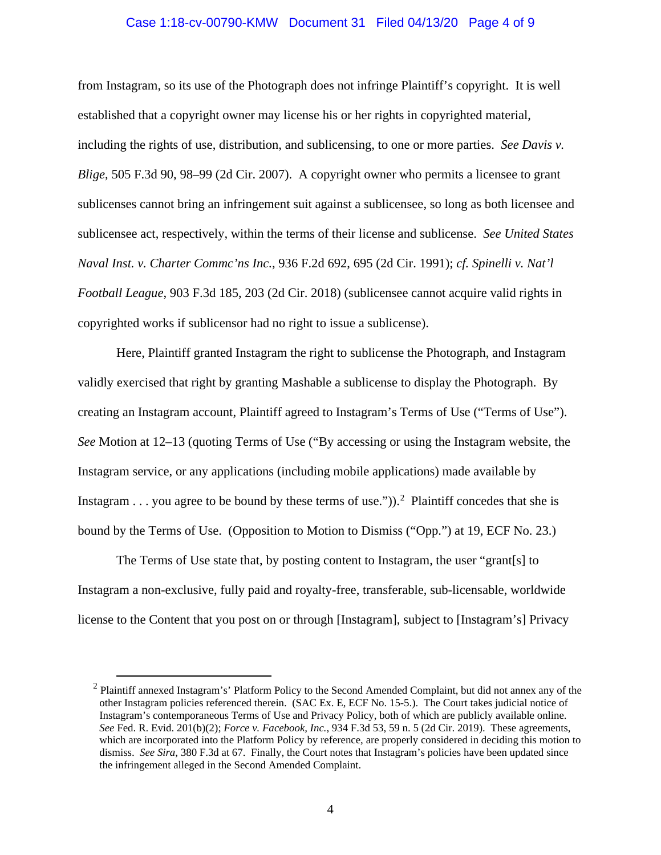## Case 1:18-cv-00790-KMW Document 31 Filed 04/13/20 Page 4 of 9

from Instagram, so its use of the Photograph does not infringe Plaintiff's copyright. It is well established that a copyright owner may license his or her rights in copyrighted material, including the rights of use, distribution, and sublicensing, to one or more parties. *See Davis v. Blige*, 505 F.3d 90, 98–99 (2d Cir. 2007). A copyright owner who permits a licensee to grant sublicenses cannot bring an infringement suit against a sublicensee, so long as both licensee and sublicensee act, respectively, within the terms of their license and sublicense. *See United States Naval Inst. v. Charter Commc'ns Inc.*, 936 F.2d 692, 695 (2d Cir. 1991); *cf. Spinelli v. Nat'l Football League*, 903 F.3d 185, 203 (2d Cir. 2018) (sublicensee cannot acquire valid rights in copyrighted works if sublicensor had no right to issue a sublicense).

Here, Plaintiff granted Instagram the right to sublicense the Photograph, and Instagram validly exercised that right by granting Mashable a sublicense to display the Photograph. By creating an Instagram account, Plaintiff agreed to Instagram's Terms of Use ("Terms of Use"). *See* Motion at 12–13 (quoting Terms of Use ("By accessing or using the Instagram website, the Instagram service, or any applications (including mobile applications) made available by Instagram . . . you agree to be bound by these terms of use." $)$ ).<sup>[2](#page-3-0)</sup> Plaintiff concedes that she is bound by the Terms of Use. (Opposition to Motion to Dismiss ("Opp.") at 19, ECF No. 23.)

The Terms of Use state that, by posting content to Instagram, the user "grant[s] to Instagram a non-exclusive, fully paid and royalty-free, transferable, sub-licensable, worldwide license to the Content that you post on or through [Instagram], subject to [Instagram's] Privacy

<span id="page-3-0"></span><sup>2</sup> Plaintiff annexed Instagram's' Platform Policy to the Second Amended Complaint, but did not annex any of the other Instagram policies referenced therein. (SAC Ex. E, ECF No. 15-5.). The Court takes judicial notice of Instagram's contemporaneous Terms of Use and Privacy Policy, both of which are publicly available online. *See* Fed. R. Evid. 201(b)(2); *Force v. Facebook, Inc.*, 934 F.3d 53, 59 n. 5 (2d Cir. 2019). These agreements, which are incorporated into the Platform Policy by reference, are properly considered in deciding this motion to dismiss. *See Sira*, 380 F.3d at 67. Finally, the Court notes that Instagram's policies have been updated since the infringement alleged in the Second Amended Complaint.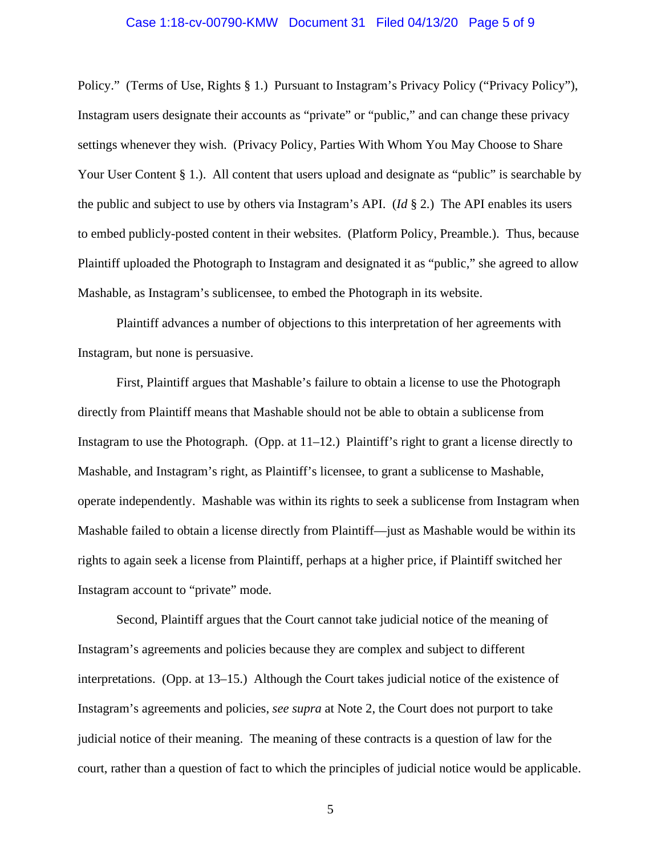## Case 1:18-cv-00790-KMW Document 31 Filed 04/13/20 Page 5 of 9

Policy." (Terms of Use, Rights § 1.) Pursuant to Instagram's Privacy Policy ("Privacy Policy"), Instagram users designate their accounts as "private" or "public," and can change these privacy settings whenever they wish. (Privacy Policy, Parties With Whom You May Choose to Share Your User Content § 1.). All content that users upload and designate as "public" is searchable by the public and subject to use by others via Instagram's API. (*Id* § 2*.*) The API enables its users to embed publicly-posted content in their websites. (Platform Policy, Preamble.). Thus, because Plaintiff uploaded the Photograph to Instagram and designated it as "public," she agreed to allow Mashable, as Instagram's sublicensee, to embed the Photograph in its website.

Plaintiff advances a number of objections to this interpretation of her agreements with Instagram, but none is persuasive.

First, Plaintiff argues that Mashable's failure to obtain a license to use the Photograph directly from Plaintiff means that Mashable should not be able to obtain a sublicense from Instagram to use the Photograph. (Opp. at  $11-12$ .) Plaintiff's right to grant a license directly to Mashable, and Instagram's right, as Plaintiff's licensee, to grant a sublicense to Mashable, operate independently. Mashable was within its rights to seek a sublicense from Instagram when Mashable failed to obtain a license directly from Plaintiff—just as Mashable would be within its rights to again seek a license from Plaintiff, perhaps at a higher price, if Plaintiff switched her Instagram account to "private" mode.

Second, Plaintiff argues that the Court cannot take judicial notice of the meaning of Instagram's agreements and policies because they are complex and subject to different interpretations. (Opp. at 13–15.) Although the Court takes judicial notice of the existence of Instagram's agreements and policies, *see supra* at Note 2, the Court does not purport to take judicial notice of their meaning. The meaning of these contracts is a question of law for the court, rather than a question of fact to which the principles of judicial notice would be applicable.

5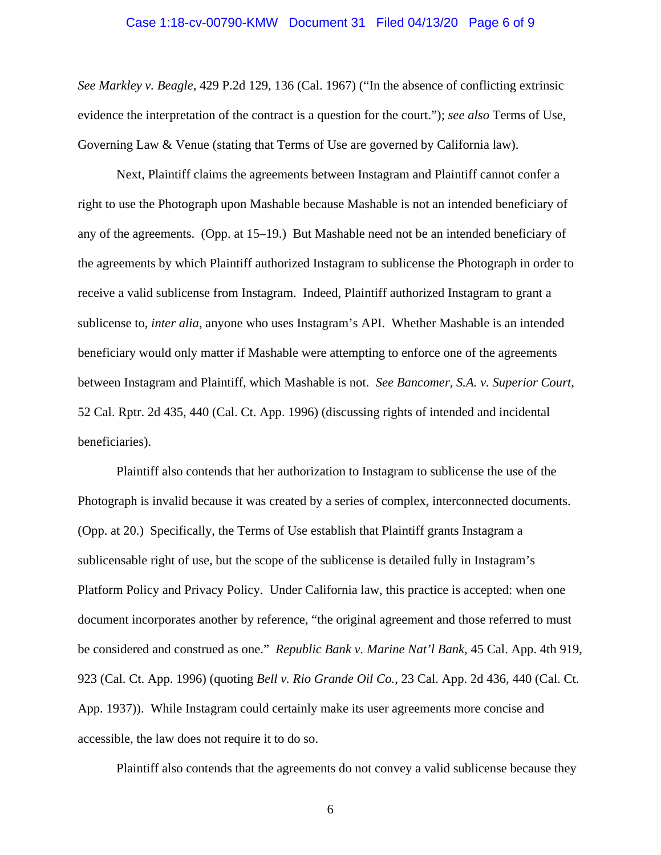# Case 1:18-cv-00790-KMW Document 31 Filed 04/13/20 Page 6 of 9

*See Markley v. Beagle*, 429 P.2d 129, 136 (Cal. 1967) ("In the absence of conflicting extrinsic evidence the interpretation of the contract is a question for the court."); *see also* Terms of Use, Governing Law & Venue (stating that Terms of Use are governed by California law).

Next, Plaintiff claims the agreements between Instagram and Plaintiff cannot confer a right to use the Photograph upon Mashable because Mashable is not an intended beneficiary of any of the agreements. (Opp. at 15–19.) But Mashable need not be an intended beneficiary of the agreements by which Plaintiff authorized Instagram to sublicense the Photograph in order to receive a valid sublicense from Instagram. Indeed, Plaintiff authorized Instagram to grant a sublicense to, *inter alia*, anyone who uses Instagram's API. Whether Mashable is an intended beneficiary would only matter if Mashable were attempting to enforce one of the agreements between Instagram and Plaintiff, which Mashable is not. *See Bancomer, S.A. v. Superior Court*, 52 Cal. Rptr. 2d 435, 440 (Cal. Ct. App. 1996) (discussing rights of intended and incidental beneficiaries).

Plaintiff also contends that her authorization to Instagram to sublicense the use of the Photograph is invalid because it was created by a series of complex, interconnected documents. (Opp. at 20.) Specifically, the Terms of Use establish that Plaintiff grants Instagram a sublicensable right of use, but the scope of the sublicense is detailed fully in Instagram's Platform Policy and Privacy Policy. Under California law, this practice is accepted: when one document incorporates another by reference, "the original agreement and those referred to must be considered and construed as one." *Republic Bank v. Marine Nat'l Bank*, 45 Cal. App. 4th 919, 923 (Cal. Ct. App. 1996) (quoting *Bell v. Rio Grande Oil Co.*, 23 Cal. App. 2d 436, 440 (Cal. Ct. App. 1937)). While Instagram could certainly make its user agreements more concise and accessible, the law does not require it to do so.

Plaintiff also contends that the agreements do not convey a valid sublicense because they

6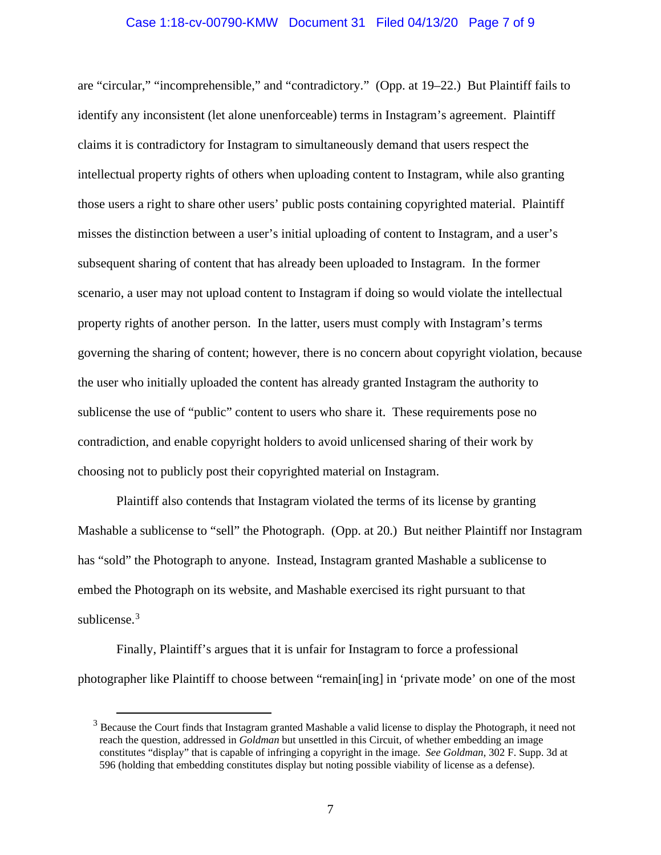### Case 1:18-cv-00790-KMW Document 31 Filed 04/13/20 Page 7 of 9

are "circular," "incomprehensible," and "contradictory." (Opp. at 19–22.) But Plaintiff fails to identify any inconsistent (let alone unenforceable) terms in Instagram's agreement. Plaintiff claims it is contradictory for Instagram to simultaneously demand that users respect the intellectual property rights of others when uploading content to Instagram, while also granting those users a right to share other users' public posts containing copyrighted material. Plaintiff misses the distinction between a user's initial uploading of content to Instagram, and a user's subsequent sharing of content that has already been uploaded to Instagram. In the former scenario, a user may not upload content to Instagram if doing so would violate the intellectual property rights of another person. In the latter, users must comply with Instagram's terms governing the sharing of content; however, there is no concern about copyright violation, because the user who initially uploaded the content has already granted Instagram the authority to sublicense the use of "public" content to users who share it. These requirements pose no contradiction, and enable copyright holders to avoid unlicensed sharing of their work by choosing not to publicly post their copyrighted material on Instagram.

Plaintiff also contends that Instagram violated the terms of its license by granting Mashable a sublicense to "sell" the Photograph. (Opp. at 20.) But neither Plaintiff nor Instagram has "sold" the Photograph to anyone. Instead, Instagram granted Mashable a sublicense to embed the Photograph on its website, and Mashable exercised its right pursuant to that sublicense.<sup>[3](#page-6-0)</sup>

Finally, Plaintiff's argues that it is unfair for Instagram to force a professional photographer like Plaintiff to choose between "remain[ing] in 'private mode' on one of the most

<span id="page-6-0"></span><sup>&</sup>lt;sup>3</sup> Because the Court finds that Instagram granted Mashable a valid license to display the Photograph, it need not reach the question, addressed in *Goldman* but unsettled in this Circuit, of whether embedding an image constitutes "display" that is capable of infringing a copyright in the image. *See Goldman*, 302 F. Supp. 3d at 596 (holding that embedding constitutes display but noting possible viability of license as a defense).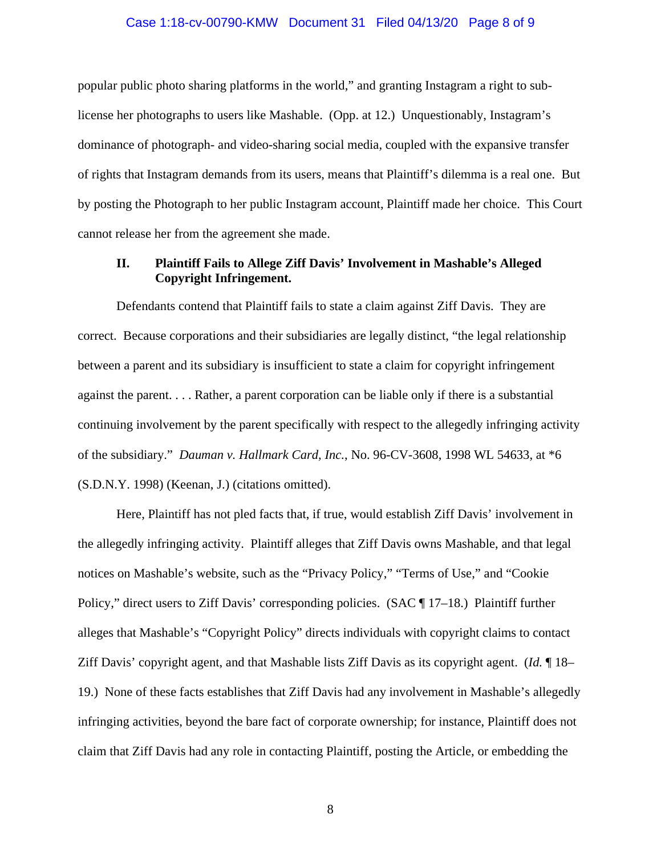#### Case 1:18-cv-00790-KMW Document 31 Filed 04/13/20 Page 8 of 9

popular public photo sharing platforms in the world," and granting Instagram a right to sublicense her photographs to users like Mashable. (Opp. at 12.) Unquestionably, Instagram's dominance of photograph- and video-sharing social media, coupled with the expansive transfer of rights that Instagram demands from its users, means that Plaintiff's dilemma is a real one. But by posting the Photograph to her public Instagram account, Plaintiff made her choice. This Court cannot release her from the agreement she made.

# **II. Plaintiff Fails to Allege Ziff Davis' Involvement in Mashable's Alleged Copyright Infringement.**

Defendants contend that Plaintiff fails to state a claim against Ziff Davis. They are correct. Because corporations and their subsidiaries are legally distinct, "the legal relationship between a parent and its subsidiary is insufficient to state a claim for copyright infringement against the parent. . . . Rather, a parent corporation can be liable only if there is a substantial continuing involvement by the parent specifically with respect to the allegedly infringing activity of the subsidiary." *Dauman v. Hallmark Card, Inc.*, No. 96-CV-3608, 1998 WL 54633, at \*6 (S.D.N.Y. 1998) (Keenan, J.) (citations omitted).

Here, Plaintiff has not pled facts that, if true, would establish Ziff Davis' involvement in the allegedly infringing activity. Plaintiff alleges that Ziff Davis owns Mashable, and that legal notices on Mashable's website, such as the "Privacy Policy," "Terms of Use," and "Cookie Policy," direct users to Ziff Davis' corresponding policies. (SAC  $\P$  17–18.) Plaintiff further alleges that Mashable's "Copyright Policy" directs individuals with copyright claims to contact Ziff Davis' copyright agent, and that Mashable lists Ziff Davis as its copyright agent. (*Id.* ¶ 18– 19.) None of these facts establishes that Ziff Davis had any involvement in Mashable's allegedly infringing activities, beyond the bare fact of corporate ownership; for instance, Plaintiff does not claim that Ziff Davis had any role in contacting Plaintiff, posting the Article, or embedding the

8